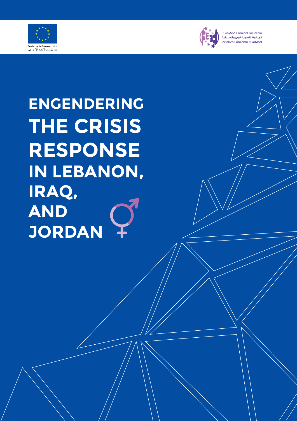



**EuroMed Feminist Initiative** المبادرة النسوية الأورومتوسطية Initiative Féministe EuroMed

**ENGENDERING THE CRISIS RESPONSE IN LEBANON, IRAQ, AND JORDAN**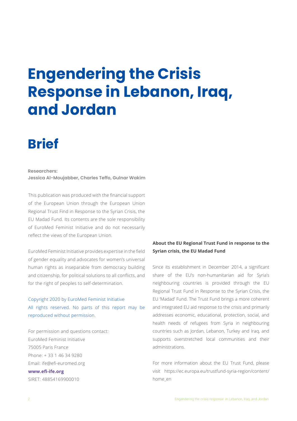# **Engendering the Crisis Response in Lebanon, Iraq, and Jordan**

## **Brief**

**Researchers:**

**Jessica Al-Moujabber, Charles Teffo, Gulnar Wakim**

This publication was produced with the financial support of the European Union through the European Union Regional Trust Find in Response to the Syrian Crisis, the EU Madad Fund. Its contents are the sole responsibility of EuroMed Feminist Initiative and do not necessarily reflect the views of the European Union.

EuroMed Feminist Initiative provides expertise in the field of gender equality and advocates for women's universal human rights as inseparable from democracy building and citizenship, for political solutions to all conflicts, and for the right of peoples to self-determination.

## Copyright 2020 by EuroMed Feminist Initiative All rights reserved. No parts of this report may be reproduced without permission.

For permission and questions contact: EuroMed Feminist Initiative 75005 Paris France Phone: + 33 1 46 34 9280 Email: ife@efi-euromed.org **www.efi-ife.org** SIRET: 48854169900010

## **About the EU Regional Trust Fund in response to the Syrian crisis, the EU Madad Fund**

Since its establishment in December 2014, a significant share of the EU's non-humanitarian aid for Syria's neighbouring countries is provided through the EU Regional Trust Fund in Response to the Syrian Crisis, the EU 'Madad' Fund. The Trust Fund brings a more coherent and integrated EU aid response to the crisis and primarily addresses economic, educational, protection, social, and health needs of refugees from Syria in neighbouring countries such as Jordan, Lebanon, Turkey and Iraq, and supports overstretched local communities and their administrations.

For more information about the EU Trust Fund, please visit https://ec.europa.eu/trustfund-syria-region/content/ home\_en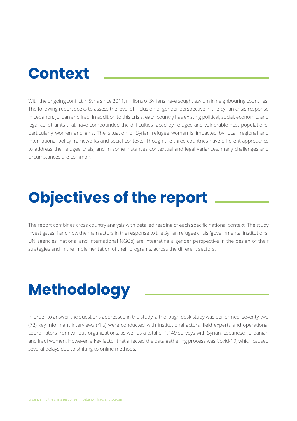## **Context**

With the ongoing conflict in Syria since 2011, millions of Syrians have sought asylum in neighbouring countries. The following report seeks to assess the level of inclusion of gender perspective in the Syrian crisis response in Lebanon, Jordan and Iraq. In addition to this crisis, each country has existing political, social, economic, and legal constraints that have compounded the difficulties faced by refugee and vulnerable host populations, particularly women and girls. The situation of Syrian refugee women is impacted by local, regional and international policy frameworks and social contexts. Though the three countries have different approaches to address the refugee crisis, and in some instances contextual and legal variances, many challenges and circumstances are common.

# **Objectives of the report**

The report combines cross country analysis with detailed reading of each specific national context. The study investigates if and how the main actors in the response to the Syrian refugee crisis (governmental institutions, UN agencies, national and international NGOs) are integrating a gender perspective in the design of their strategies and in the implementation of their programs, across the different sectors.

# **Methodology**

In order to answer the questions addressed in the study, a thorough desk study was performed, seventy-two (72) key informant interviews (KIIs) were conducted with institutional actors, field experts and operational coordinators from various organizations, as well as a total of 1,149 surveys with Syrian, Lebanese, Jordanian and Iraqi women. However, a key factor that affected the data gathering process was Covid-19, which caused several delays due to shifting to online methods.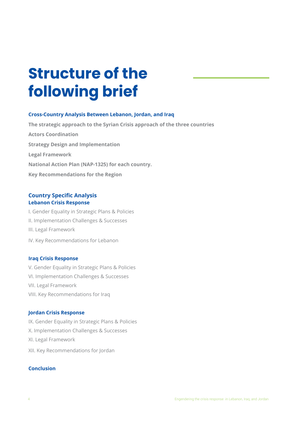# **Structure of the following brief**

### **Cross-Country Analysis Between Lebanon, Jordan, and Iraq**

**The strategic approach to the Syrian Crisis approach of the three countries Actors Coordination Strategy Design and Implementation Legal Framework National Action Plan (NAP-1325) for each country. Key Recommendations for the Region**

### **Country Specific Analysis Lebanon Crisis Response**

I. Gender Equality in Strategic Plans & Policies II. Implementation Challenges & Successes III. Legal Framework IV. Key Recommendations for Lebanon

#### **Iraq Crisis Response**

V. Gender Equality in Strategic Plans & Policies VI. Implementation Challenges & Successes VII. Legal Framework VIII. Key Recommendations for Iraq

### **Jordan Crisis Response**

IX. Gender Equality in Strategic Plans & Policies

- X. Implementation Challenges & Successes
- XI. Legal Framework
- XII. Key Recommendations for Jordan

#### **Conclusion**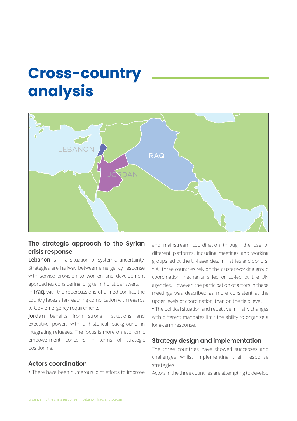## **Cross-country analysis**



## **The strategic approach to the Syrian crisis response**

**Lebanon** is in a situation of systemic uncertainty. Strategies are halfway between emergency response with service provision to women and development approaches considering long term holistic answers.

In **Iraq**, with the repercussions of armed conflict, the country faces a far-reaching complication with regards to GBV emergency requirements.

**Jordan** benefits from strong institutions and executive power, with a historical background in integrating refugees. The focus is more on economic empowerment concerns in terms of strategic positioning.

## **Actors coordination**

**•** There have been numerous joint efforts to improve

and mainstream coordination through the use of different platforms, including meetings and working groups led by the UN agencies, ministries and donors. **•** All three countries rely on the cluster/working group coordination mechanisms led or co-led by the UN agencies. However, the participation of actors in these meetings was described as more consistent at the upper levels of coordination, than on the field level.

**•** The political situation and repetitive ministry changes with different mandates limit the ability to organize a long-term response.

### **Strategy design and implementation**

The three countries have showed successes and challenges whilst implementing their response strategies.

Actors in the three countries are attempting to develop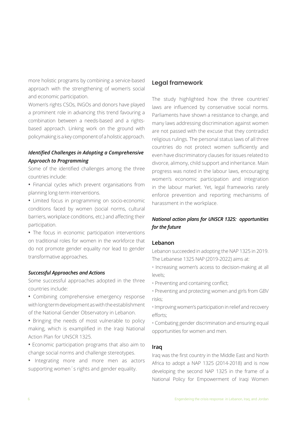more holistic programs by combining a service-based approach with the strengthening of women's social and economic participation.

Women's rights CSOs, INGOs and donors have played a prominent role in advancing this trend favouring a combination between a needs-based and a rightsbased approach. Linking work on the ground with policymaking is a key component of a holistic approach.

## *Identified Challenges in Adopting a Comprehensive Approach to Programming*

Some of the identified challenges among the three countries include:

- Financial cycles which prevent organisations from planning long-term interventions.
- Limited focus in programming on socio-economic conditions faced by women (social norms, cultural barriers, workplace conditions, etc.) and affecting their participation.

**•** The focus in economic participation interventions on traditional roles for women in the workforce that do not promote gender equality nor lead to gender transformative approaches.

#### *Successful Approaches and Actions*

Some successful approaches adopted in the three countries include:

- Combining comprehensive emergency response with long term development as with the establishment of the National Gender Observatory in Lebanon.
- Bringing the needs of most vulnerable to policy making, which is examplified in the Iraqi National Action Plan for UNSCR 1325.
- Economic participation programs that also aim to change social norms and challenge stereotypes.
- Integrating more and more men as actors supporting women´s rights and gender equality.

### **Legal framework**

The study highlighted how the three countries' laws are influenced by conservative social norms. Parliaments have shown a resistance to change, and many laws addressing discrimination against women are not passed with the excuse that they contradict religious rulings. The personal status laws of all three countries do not protect women sufficiently and even have discriminatory clauses for issues related to divorce, alimony, child support and inheritance. Main progress was noted in the labour laws, encouraging women's economic participation and integration in the labour market. Yet, legal frameworks rarely enforce prevention and reporting mechanisms of harassment in the workplace.

## *National action plans for UNSCR 1325: opportunities for the future*

#### **Lebanon**

Lebanon succeeded in adopting the NAP 1325 in 2019. The Lebanese 1325 NAP (2019-2022) aims at:

- Increasing women's access to decision-making at all levels;
- Preventing and containing conflict;
- Preventing and protecting women and girls from GBV risks;
- Improving women's participation in relief and recovery efforts;
- Combating gender discrimination and ensuring equal opportunities for women and men.

#### **Iraq**

Iraq was the first country in the Middle East and North Africa to adopt a NAP 1325 (2014-2018) and is now developing the second NAP 1325 in the frame of a National Policy for Empowerment of Iraqi Women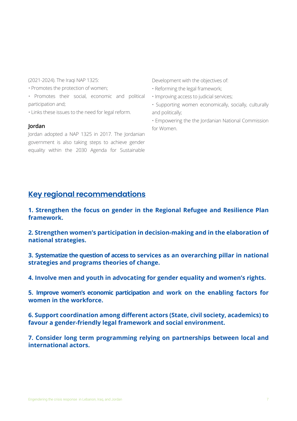(2021-2024). The Iraqi NAP 1325:

- Promotes the protection of women;
- Promotes their social, economic and political participation and;
- Links these issues to the need for legal reform.

#### **Jordan**

Jordan adopted a NAP 1325 in 2017. The Jordanian government is also taking steps to achieve gender equality within the 2030 Agenda for Sustainable

Development with the objectives of:

- Reforming the legal framework;
- Improving access to judicial services;
- Supporting women economically, socially, culturally and politically;
- Empowering the the Jordanian National Commission for Women.

## **Key regional recommendations**

**1. Strengthen the focus on gender in the Regional Refugee and Resilience Plan framework.**

**2. Strengthen women's participation in decision-making and in the elaboration of national strategies.**

**3. Systematize the question of access to services as an overarching pillar in national strategies and programs theories of change.**

**4. Involve men and youth in advocating for gender equality and women's rights.**

**5. Improve women's economic participation and work on the enabling factors for women in the workforce.** 

**6. Support coordination among different actors (State, civil society, academics) to favour a gender-friendly legal framework and social environment.**

**7. Consider long term programming relying on partnerships between local and international actors.**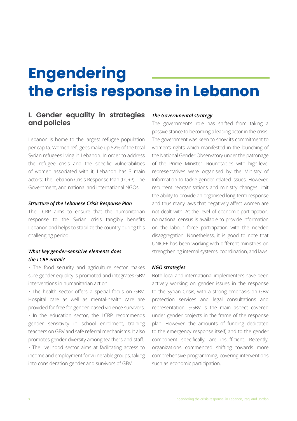# **Engendering the crisis response in Lebanon**

## **I. Gender equality in strategies and policies**

Lebanon is home to the largest refugee population per capita. Women refugees make up 52% of the total Syrian refugees living in Lebanon. In order to address the refugee crisis and the specific vulnerabilities of women associated with it, Lebanon has 3 main actors: The Lebanon Crisis Response Plan (LCRP), The Government, and national and international NGOs.

#### *Structure of the Lebanese Crisis Response Plan*

The LCRP aims to ensure that the humanitarian response to the Syrian crisis tangibly benefits Lebanon and helps to stabilize the country during this challenging period.

### *What key gender-sensitive elements does the LCRP entail?*

• The food security and agriculture sector makes sure gender equality is promoted and integrates GBV interventions in humanitarian action.

• The health sector offers a special focus on GBV. Hospital care as well as mental-health care are provided for free for gender-based violence survivors. • In the education sector, the LCRP recommends gender sensitivity in school enrolment, training teachers on GBV and safe referral mechanisms. It also promotes gender diversity among teachers and staff.

• The livelihood sector aims at facilitating access to income and employment for vulnerable groups, taking into consideration gender and survivors of GBV.

#### *The Governmental strategy*

The government's role has shifted from taking a passive stance to becoming a leading actor in the crisis. The government was keen to show its commitment to women's rights which manifested in the launching of the National Gender Observatory under the patronage of the Prime Minister. Roundtables with high-level representatives were organised by the Ministry of Information to tackle gender related issues. However, recurrent reorganisations and ministry changes limit the ability to provide an organised long-term response and thus many laws that negatively affect women are not dealt with. At the level of economic participation, no national census is available to provide information on the labour force participation with the needed disaggregation. Nonetheless, it is good to note that UNICEF has been working with different ministries on strengthening internal systems, coordination, and laws.

#### *NGO strategies*

Both local and international implementers have been actively working on gender issues in the response to the Syrian Crisis, with a strong emphasis on GBV protection services and legal consultations and representation. SGBV is the main aspect covered under gender projects in the frame of the response plan. However, the amounts of funding dedicated to the emergency response itself, and to the gender component specifically, are insufficient. Recently, organizations commenced shifting towards more comprehensive programming, covering interventions such as economic participation.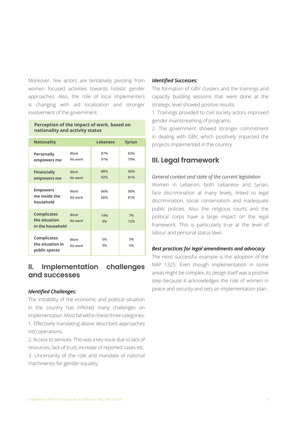Moreover, few actors are tentatively pivoting from women focused activities towards holistic gender approaches. Also, the role of local implementers is changing with aid localization and stronger involvement of the government.

#### **Perception of the impact of work, based on nationality and activity status**

| <b>Nationality</b>                                      |                 | <b>Lebanese</b> | <b>Syrian</b> |  |
|---------------------------------------------------------|-----------------|-----------------|---------------|--|
| <b>Personally</b><br>empowers me                        | Work<br>No work | 87%<br>91%      | 83%<br>79%    |  |
| <b>Financially</b><br>empowers me                       | Work<br>No work | 80%<br>92%      | 90%<br>81%    |  |
| <b>Empowers</b><br>me inside the<br>household           | Work<br>No work | 66%<br>66%      | 90%<br>81%    |  |
| <b>Complicates</b><br>the situation<br>in the household | Work<br>No work | 14%<br>9%       | 7%<br>12%     |  |
| <b>Complicates</b><br>the situation in<br>public spaces | Work<br>No work | 5%<br>3%        | 3%<br>5%      |  |

## **II. Implementation challenges and successes**

#### *Identified Challenges:*

The instability of the economic and political situation in the country has inflicted many challenges on implementation. Most fall within these three categories: 1. Effectively translating above described approaches into operations;

2. Access to services. This was a key issue due to lack of resources, lack of trust, increase of reported cases etc. 3. Uncertainty of the role and mandate of national machineries for gender equality.

#### *Identified Successes:*

The formation of GBV clusters and the trainings and capacity building sessions that were done at the strategic level showed positive results.

1. Trainings provided to civil society actors improved gender mainstreaming of programs.

2. The government showed stronger commitment in dealing with GBV, which positively impacted the projects implemented in the country.

## **III. Legal framework**

#### *General context and state of the current legislation*

Women in Lebanon, both Lebanese and Syrian, face discrimination at many levels, linked to legal discrimination, social conservatism and inadequate public policies. Also, the religious courts and the political corps have a large impact on the legal framework. This is particularly true at the level of labour and personal status laws

### *Best practices for legal amendments and advocacy*

The most successful example is the adoption of the NAP 1325. Even though implementation in some areas might be complex, its design itself was a positive step because it acknowledges the role of women in peace and security and sets an implementation plan.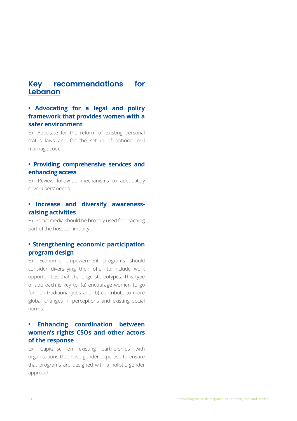## **Key recommendations for Lebanon**

## **• Advocating for a legal and policy framework that provides women with a safer environment**

Ex: Advocate for the reform of existing personal status laws and for the set-up of optional civil marriage code

## **• Providing comprehensive services and enhancing access**

Ex: Review follow-up mechanisms to adequately cover users' needs.

## **• Increase and diversify awarenessraising activities**

Ex: Social media should be broadly used for reaching part of the host community.

## **• Strengthening economic participation program design**

Ex: Economic empowerment programs should consider diversifying their offer to include work opportunities that challenge stereotypes. This type of approach is key to: (a) encourage women to go for non-traditional jobs and (b) contribute to more global changes in perceptions and existing social norms.

## **• Enhancing coordination between women's rights CSOs and other actors of the response**

Ex: Capitalise on existing partnerships with organisations that have gender expertise to ensure that programs are designed with a holistic gender approach.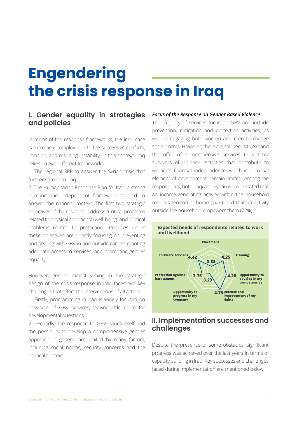# **Engendering the crisis response in Iraq**

## **I. Gender equality in strategies and policies**

In terms of the response frameworks, the Iraqi case is extremely complex due to the successive conflicts, invasion, and resulting instability. In this context, Iraq relies on two different frameworks:

1. The regional 3RP to answer the Syrian crisis that further spread to Iraq.

2. The Humanitarian Response Plan for Iraq, a strong humanitarian independent framework tailored to answer the national context. The first two strategic objectives of the response address "Critical problems related to physical and mental well-being" and "Critical problems related to protection". Priorities under these objectives are directly focusing on preventing and dealing with GBV in and outside camps, granting adequate access to services, and promoting gender equality.

However, gender mainstreaming in the strategic design of the crisis response in Iraq faces two key challenges that affect the interventions of all actors:

1. Firstly, programming in Iraq is widely focused on provision of GBV services, leaving little room for developmental questions.

2. Secondly, the response to GBV issues itself and the possibility to develop a comprehensive gender approach in general are limited by many factors, including social norms, security concerns and the political context.

#### *Focus of the Response on Gender Based Violence*

The majority of services focus on GBV and include prevention, mitigation and protection activities, as well as engaging both women and men to change social norms. However, there are still needs to expand the offer of comprehensive services to victims/ survivors of violence. Activities that contribute to women's financial independence, which is a crucial element of development, remain limited. Among the respondents, both Iraqi and Syrian women stated that an income-generating activity within the household reduces tension at home (74%), and that an activity outside the household empowers them (72%).



## **II. Implementation successes and challenges**

Despite the presence of some obstacles, significant progress was achieved over the last years in terms of capacity building in Iraq. Key successes and challenges faced during implementation are mentioned below.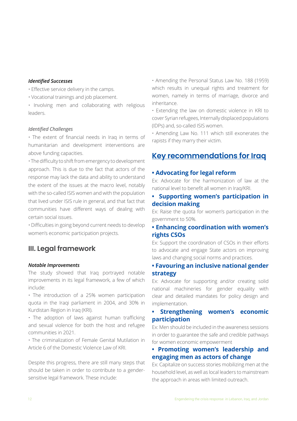#### *Identified Successes*

- Effective service delivery in the camps.
- Vocational trainings and job placement.
- Involving men and collaborating with religious leaders.

#### *Identified Challenges*

• The extent of financial needs in Iraq in terms of humanitarian and development interventions are above funding capacities.

• The difficulty to shift from emergency to development approach. This is due to the fact that actors of the response may lack the data and ability to understand the extent of the issues at the macro level, notably with the so-called ISIS women and with the population that lived under ISIS rule in general, and that fact that communities have different ways of dealing with certain social issues.

• Difficulties in going beyond current needs to develop women's economic participation projects.

## **III. Legal framework**

### *Notable Improvements*

The study showed that Iraq portrayed notable improvements in its legal framework, a few of which include:

• The introduction of a 25% women participation quota in the Iraqi parliament in 2004, and 30% in Kurdistan Region in Iraq (KRI).

• The adoption of laws against human trafficking and sexual violence for both the host and refugee communities in 2021.

• The criminalization of Female Genital Mutilation in Article 6 of the Domestic Violence Law of KRI.

Despite this progress, there are still many steps that should be taken in order to contribute to a gendersensitive legal framework. These include:

• Amending the Personal Status Law No. 188 (1959) which results in unequal rights and treatment for women, namely in terms of marriage, divorce and inheritance.

• Extending the law on domestic violence in KRI to cover Syrian refugees, Internally displaced populations (IDPs) and, so-called ISIS women.

• Amending Law No. 111 which still exonerates the rapists if they marry their victim.

## **Key recommendations for Iraq**

### **• Advocating for legal reform**

Ex: Advocate for the harmonization of law at the national level to benefit all women in Iraq/KRI.

## **• Supporting women's participation in decision making**

Ex: Raise the quota for women's participation in the government to 50%.

### **• Enhancing coordination with women's rights CSOs**

Ex: Support the coordination of CSOs in their efforts to advocate and engage State actors on improving laws and changing social norms and practices.

### **• Favouring an inclusive national gender strategy**

Ex: Advocate for supporting and/or creating solid national machineries for gender equality with clear and detailed mandates for policy design and implementation.

## **• Strengthening women's economic participation**

Ex: Men should be included in the awareness sessions in order to guarantee the safe and credible pathways for women economic empowerment

### **• Promoting women's leadership and engaging men as actors of change**

Ex: Capitalize on success stories mobilizing men at the household level, as well as local leaders to mainstream the approach in areas with limited outreach.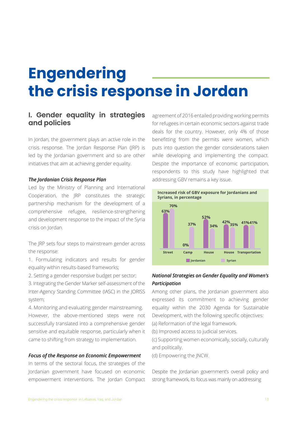# **Engendering the crisis response in Jordan**

## **I. Gender equality in strategies and policies**

In Jordan, the government plays an active role in the crisis response. The Jordan Response Plan (JRP) is led by the Jordanian government and so are other initiatives that aim at achieving gender equality.

#### *The Jordanian Crisis Response Plan*

Led by the Ministry of Planning and International Cooperation, the JRP constitutes the strategic partnership mechanism for the development of a comprehensive refugee, resilience-strengthening and development response to the impact of the Syria crisis on Jordan.

The JRP sets four steps to mainstream gender across the response:

1. Formulating indicators and results for gender equality within results-based frameworks;

2. Setting a gender-responsive budget per sector;

3. Integrating the Gender Marker self-assessment of the Inter-Agency Standing Committee (IASC) in the JORISS system;

4. Monitoring and evaluating gender mainstreaming. However, the above-mentioned steps were not successfully translated into a comprehensive gender sensitive and equitable response, particularly when it came to shifting from strategy to implementation.

#### *Focus of the Response on Economic Empowerment*

In terms of the sectoral focus, the strategies of the Jordanian government have focused on economic empowerment interventions. The Jordan Compact

agreement of 2016 entailed providing working permits for refugees in certain economic sectors against trade deals for the country. However, only 4% of those benefitting from the permits were women, which puts into question the gender considerations taken while developing and implementing the compact. Despite the importance of economic participation, respondents to this study have highlighted that addressing GBV remains a key issue.



### *National Strategies on Gender Equality and Women's Participation*

Among other plans, the Jordanian government also expressed its commitment to achieving gender equality within the 2030 Agenda for Sustainable Development, with the following specific objectives:

(a) Reformation of the legal framework. (b) Improved access to judicial services.

(c) Supporting women economically, socially, culturally and politically.

(d) Empowering the JNCW.

Despite the Jordanian government's overall policy and strong framework, its focus was mainly on addressing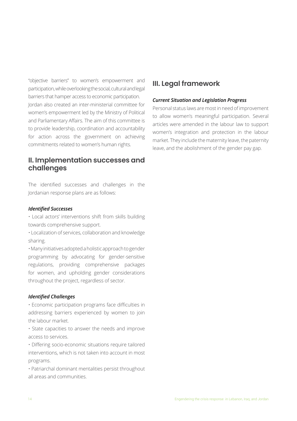"objective barriers" to women's empowerment and participation, while overlooking the social, cultural and legal barriers that hamper access to economic participation. Jordan also created an inter-ministerial committee for women's empowerment led by the Ministry of Political and Parliamentary Affairs. The aim of this committee is to provide leadership, coordination and accountability for action across the government on achieving commitments related to women's human rights.

## **II. Implementation successes and challenges**

The identified successes and challenges in the Jordanian response plans are as follows:

#### *Identified Successes*

• Local actors' interventions shift from skills building towards comprehensive support.

• Localization of services, collaboration and knowledge sharing.

• Many initiatives adopted a holistic approach to gender programming by advocating for gender-sensitive regulations, providing comprehensive packages for women, and upholding gender considerations throughout the project, regardless of sector.

#### *Identified Challenges*

• Economic participation programs face difficulties in addressing barriers experienced by women to join the labour market.

• State capacities to answer the needs and improve access to services.

• Differing socio-economic situations require tailored interventions, which is not taken into account in most programs.

• Patriarchal dominant mentalities persist throughout all areas and communities.

## **III. Legal framework**

#### *Current Situation and Legislation Progress*

Personal status laws are most in need of improvement to allow women's meaningful participation. Several articles were amended in the labour law to support women's integration and protection in the labour market. They include the maternity leave, the paternity leave, and the abolishment of the gender pay gap.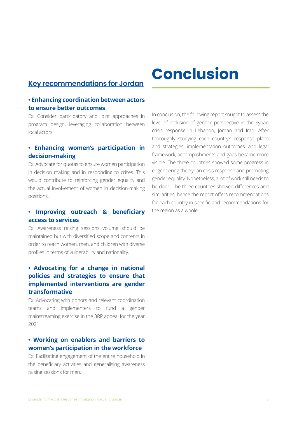## **Key recommendations for Jordan**

## **• Enhancing coordination between actors to ensure better outcomes**

Ex: Consider participatory and joint approaches in program design, leveraging collaboration between local actors.

## **• Enhancing women's participation in decision-making**

Ex: Advocate for quotas to ensure women participation in decision making and in responding to crises. This would contribute to reinforcing gender equality and the actual involvement of women in decision-making positions.

## **• Improving outreach & beneficiary access to services**

Ex: Awareness raising sessions volume should be maintained but with diversified scope and contents in order to reach women, men, and children with diverse profiles in terms of vulnerability and nationality.

## **• Advocating for a change in national policies and strategies to ensure that implemented interventions are gender transformative**

Ex: Advocating with donors and relevant coordination teams and implementers to fund a gender mainstreaming exercise in the 3RP appeal for the year 2021.

## **• Working on enablers and barriers to women's participation in the workforce**

Ex: Facilitating engagement of the entire household in the beneficiary activities and generalising awareness raising sessions for men.

# **Conclusion**

In conclusion, the following report sought to assess the level of inclusion of gender perspective in the Syrian crisis response in Lebanon, Jordan and Iraq. After thoroughly studying each country's response plans and strategies, implementation outcomes, and legal framework, accomplishments and gaps became more visible. The three countries showed some progress in engendering the Syrian crisis response and promoting gender equality. Nonetheless, a lot of work still needs to be done. The three countries showed differences and similarities, hence the report offers recommendations for each country in specific and recommendations for the region as a whole.